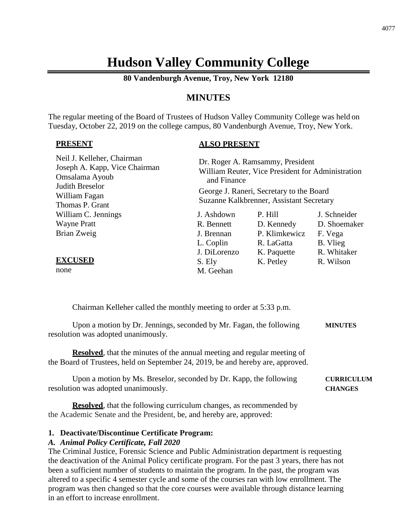# **Hudson Valley Community College**

**80 Vandenburgh Avenue, Troy, New York 12180**

# **MINUTES**

The regular meeting of the Board of Trustees of Hudson Valley Community College was held on Tuesday, October 22, 2019 on the college campus, 80 Vandenburgh Avenue, Troy, New York.

#### **PRESENT**

# **ALSO PRESENT**

| Neil J. Kelleher, Chairman<br>Joseph A. Kapp, Vice Chairman<br>Omsalama Ayoub<br>Judith Breselor<br>William Fagan<br>Thomas P. Grant | Dr. Roger A. Ramsammy, President<br>William Reuter, Vice President for Administration<br>and Finance<br>George J. Raneri, Secretary to the Board<br>Suzanne Kalkbrenner, Assistant Secretary |               |              |
|--------------------------------------------------------------------------------------------------------------------------------------|----------------------------------------------------------------------------------------------------------------------------------------------------------------------------------------------|---------------|--------------|
| William C. Jennings                                                                                                                  | J. Ashdown                                                                                                                                                                                   | P. Hill       | J. Schneider |
| <b>Wayne Pratt</b>                                                                                                                   | R. Bennett                                                                                                                                                                                   | D. Kennedy    | D. Shoemaker |
| Brian Zweig                                                                                                                          | J. Brennan                                                                                                                                                                                   | P. Klimkewicz | F. Vega      |
|                                                                                                                                      | L. Coplin                                                                                                                                                                                    | R. LaGatta    | B. Vlieg     |
|                                                                                                                                      | J. DiLorenzo                                                                                                                                                                                 | K. Paquette   | R. Whitaker  |
| <b>EXCUSED</b>                                                                                                                       | S. Ely                                                                                                                                                                                       | K. Petley     | R. Wilson    |
| none                                                                                                                                 | M. Geehan                                                                                                                                                                                    |               |              |

Chairman Kelleher called the monthly meeting to order at 5:33 p.m.

Upon a motion by Dr. Jennings, seconded by Mr. Fagan, the following **MINUTES** resolution was adopted unanimously.

**Resolved**, that the minutes of the annual meeting and regular meeting of the Board of Trustees, held on September 24, 2019, be and hereby are, approved.

Upon a motion by Ms. Breselor, seconded by Dr. Kapp, the following **CURRICULUM** resolution was adopted unanimously. **CHANGES**

**Resolved**, that the following curriculum changes, as recommended by the Academic Senate and the President, be, and hereby are, approved:

#### **1. Deactivate/Discontinue Certificate Program:**

#### *A. Animal Policy Certificate, Fall 2020*

The Criminal Justice, Forensic Science and Public Administration department is requesting the deactivation of the Animal Policy certificate program. For the past 3 years, there has not been a sufficient number of students to maintain the program. In the past, the program was altered to a specific 4 semester cycle and some of the courses ran with low enrollment. The program was then changed so that the core courses were available through distance learning in an effort to increase enrollment.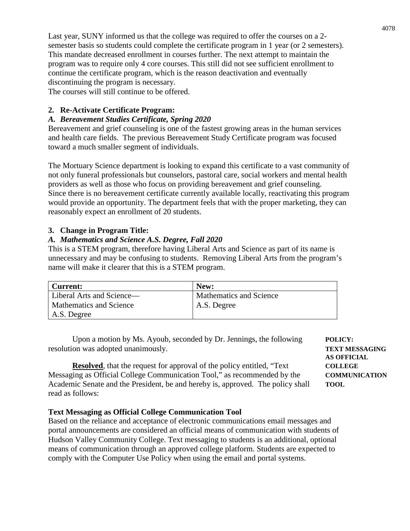Last year, SUNY informed us that the college was required to offer the courses on a 2 semester basis so students could complete the certificate program in 1 year (or 2 semesters). This mandate decreased enrollment in courses further. The next attempt to maintain the program was to require only 4 core courses. This still did not see sufficient enrollment to continue the certificate program, which is the reason deactivation and eventually discontinuing the program is necessary.

The courses will still continue to be offered.

# **2. Re-Activate Certificate Program:**

# *A. Bereavement Studies Certificate, Spring 2020*

Bereavement and grief counseling is one of the fastest growing areas in the human services and health care fields. The previous Bereavement Study Certificate program was focused toward a much smaller segment of individuals.

The Mortuary Science department is looking to expand this certificate to a vast community of not only funeral professionals but counselors, pastoral care, social workers and mental health providers as well as those who focus on providing bereavement and grief counseling. Since there is no bereavement certificate currently available locally, reactivating this program would provide an opportunity. The department feels that with the proper marketing, they can reasonably expect an enrollment of 20 students.

# **3. Change in Program Title:**

# *A. Mathematics and Science A.S. Degree, Fall 2020*

This is a STEM program, therefore having Liberal Arts and Science as part of its name is unnecessary and may be confusing to students. Removing Liberal Arts from the program's name will make it clearer that this is a STEM program.

| Current:                       | New:                    |
|--------------------------------|-------------------------|
| Liberal Arts and Science—      | Mathematics and Science |
| <b>Mathematics and Science</b> | A.S. Degree             |
| A.S. Degree                    |                         |

Upon a motion by Ms. Ayoub, seconded by Dr. Jennings, the following **POLICY:** resolution was adopted unanimously. **TEXT MESSAGING**

**Resolved**, that the request for approval of the policy entitled, "Text **COLLEGE** Messaging as Official College Communication Tool," as recommended by the **COMMUNICATION** Academic Senate and the President, be and hereby is, approved. The policy shall **TOOL** read as follows:

# **Text Messaging as Official College Communication Tool**

Based on the reliance and acceptance of electronic communications email messages and portal announcements are considered an official means of communication with students of Hudson Valley Community College. Text messaging to students is an additional, optional means of communication through an approved college platform. Students are expected to comply with the Computer Use Policy when using the email and portal systems.

**AS OFFICIAL**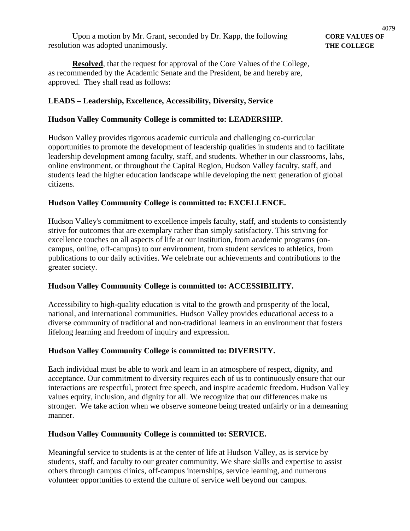**Resolved**, that the request for approval of the Core Values of the College, as recommended by the Academic Senate and the President, be and hereby are, approved. They shall read as follows:

# **LEADS – Leadership, Excellence, Accessibility, Diversity, Service**

#### **Hudson Valley Community College is committed to: LEADERSHIP.**

Hudson Valley provides rigorous academic curricula and challenging co-curricular opportunities to promote the development of leadership qualities in students and to facilitate leadership development among faculty, staff, and students. Whether in our classrooms, labs, online environment, or throughout the Capital Region, Hudson Valley faculty, staff, and students lead the higher education landscape while developing the next generation of global citizens.

#### **Hudson Valley Community College is committed to: EXCELLENCE.**

Hudson Valley's commitment to excellence impels faculty, staff, and students to consistently strive for outcomes that are exemplary rather than simply satisfactory. This striving for excellence touches on all aspects of life at our institution, from academic programs (oncampus, online, off-campus) to our environment, from student services to athletics, from publications to our daily activities. We celebrate our achievements and contributions to the greater society.

# **Hudson Valley Community College is committed to: ACCESSIBILITY.**

Accessibility to high-quality education is vital to the growth and prosperity of the local, national, and international communities. Hudson Valley provides educational access to a diverse community of traditional and non-traditional learners in an environment that fosters lifelong learning and freedom of inquiry and expression.

#### **Hudson Valley Community College is committed to: DIVERSITY.**

Each individual must be able to work and learn in an atmosphere of respect, dignity, and acceptance. Our commitment to diversity requires each of us to continuously ensure that our interactions are respectful, protect free speech, and inspire academic freedom. Hudson Valley values equity, inclusion, and dignity for all. We recognize that our differences make us stronger. We take action when we observe someone being treated unfairly or in a demeaning manner.

#### **Hudson Valley Community College is committed to: SERVICE.**

Meaningful service to students is at the center of life at Hudson Valley, as is service by students, staff, and faculty to our greater community. We share skills and expertise to assist others through campus clinics, off-campus internships, service learning, and numerous volunteer opportunities to extend the culture of service well beyond our campus.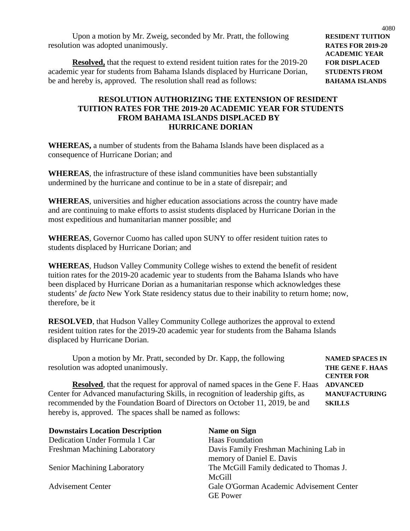Upon a motion by Mr. Zweig, seconded by Mr. Pratt, the following **RESIDENT TUITION** resolution was adopted unanimously. **RATES FOR 2019-20**

**Resolved,** that the request to extend resident tuition rates for the 2019-20 **FOR DISPLACED** academic year for students from Bahama Islands displaced by Hurricane Dorian, **STUDENTS FROM** be and hereby is, approved. The resolution shall read as follows: **BAHAMA ISLANDS**

# **RESOLUTION AUTHORIZING THE EXTENSION OF RESIDENT TUITION RATES FOR THE 2019-20 ACADEMIC YEAR FOR STUDENTS FROM BAHAMA ISLANDS DISPLACED BY HURRICANE DORIAN**

**WHEREAS,** a number of students from the Bahama Islands have been displaced as a consequence of Hurricane Dorian; and

**WHEREAS**, the infrastructure of these island communities have been substantially undermined by the hurricane and continue to be in a state of disrepair; and

**WHEREAS**, universities and higher education associations across the country have made and are continuing to make efforts to assist students displaced by Hurricane Dorian in the most expeditious and humanitarian manner possible; and

**WHEREAS**, Governor Cuomo has called upon SUNY to offer resident tuition rates to students displaced by Hurricane Dorian; and

**WHEREAS**, Hudson Valley Community College wishes to extend the benefit of resident tuition rates for the 2019-20 academic year to students from the Bahama Islands who have been displaced by Hurricane Dorian as a humanitarian response which acknowledges these students' *de facto* New York State residency status due to their inability to return home; now, therefore, be it

**RESOLVED**, that Hudson Valley Community College authorizes the approval to extend resident tuition rates for the 2019-20 academic year for students from the Bahama Islands displaced by Hurricane Dorian.

| Upon a motion by Mr. Pratt, seconded by Dr. Kapp, the following                     | <b>NAMED SPACES IN</b> |
|-------------------------------------------------------------------------------------|------------------------|
| resolution was adopted unanimously.                                                 | THE GENE F. HAAS       |
|                                                                                     | <b>CENTER FOR</b>      |
| <b>Resolved</b> , that the request for approval of named spaces in the Gene F. Haas | <b>ADVANCED</b>        |
| Center for Advanced manufacturing Skills, in recognition of leadership gifts, as    | <b>MANUFACTURING</b>   |
| recommended by the Foundation Board of Directors on October 11, 2019, be and        | <b>SKILLS</b>          |
| hereby is, approved. The spaces shall be named as follows:                          |                        |

| <b>Downstairs Location Description</b> | <b>Name on Sign</b>                      |
|----------------------------------------|------------------------------------------|
| Dedication Under Formula 1 Car         | <b>Haas Foundation</b>                   |
| Freshman Machining Laboratory          | Davis Family Freshman Machining Lab in   |
|                                        | memory of Daniel E. Davis                |
| <b>Senior Machining Laboratory</b>     | The McGill Family dedicated to Thomas J. |
|                                        | McGill                                   |
| <b>Advisement Center</b>               | Gale O'Gorman Academic Advisement Center |
|                                        | <b>GE</b> Power                          |

4080

**ACADEMIC YEAR**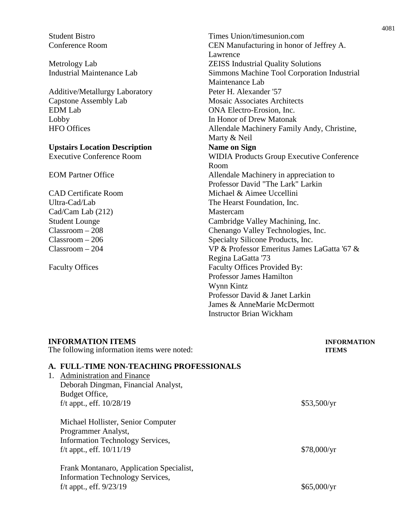Additive/Metallurgy Laboratory Peter H. Alexander '57 Capstone Assembly Lab Mosaic Associates Architects EDM Lab ONA Electro-Erosion, Inc. Lobby In Honor of Drew Matonak

# **Upstairs Location Description Mame on Sign Executive Conference Room WIDIA Product**

Cad/Cam Lab (212) Mastercam

Student Bistro Times Union/timesunion.com Conference Room CEN Manufacturing in honor of Jeffrey A. Lawrence Metrology Lab ZEISS Industrial Quality Solutions Industrial Maintenance Lab Simmons Machine Tool Corporation Industrial Maintenance Lab HFO Offices Allendale Machinery Family Andy, Christine, Marty & Neil WIDIA Products Group Executive Conference Room EOM Partner Office Allendale Machinery in appreciation to Professor David "The Lark" Larkin CAD Certificate Room Michael & Aimee Uccellini Ultra-Cad/Lab The Hearst Foundation, Inc. Student Lounge Cambridge Valley Machining, Inc. Classroom – 208 Chenango Valley Technologies, Inc. Classroom – 206 Specialty Silicone Products, Inc. Classroom – 204 VP & Professor Emeritus James LaGatta '67 & Regina LaGatta '73 Faculty Offices Faculty Offices Provided By: Professor James Hamilton Wynn Kintz Professor David & Janet Larkin James & AnneMarie McDermott Instructor Brian Wickham

| <b>INFORMATION ITEMS</b>                                                     | <b>INFORMATION</b> |  |
|------------------------------------------------------------------------------|--------------------|--|
| The following information items were noted:                                  | <b>ITEMS</b>       |  |
| A. FULL-TIME NON-TEACHING PROFESSIONALS                                      |                    |  |
| <b>Administration and Finance</b><br>1.                                      |                    |  |
| Deborah Dingman, Financial Analyst,                                          |                    |  |
| Budget Office,                                                               |                    |  |
| f/t appt., eff. $10/28/19$                                                   | \$53,500/yr        |  |
| Michael Hollister, Senior Computer                                           |                    |  |
| Programmer Analyst,                                                          |                    |  |
| <b>Information Technology Services,</b>                                      |                    |  |
| f/t appt., eff. $10/11/19$                                                   | \$78,000/yr        |  |
| Frank Montanaro, Application Specialist,<br>Information Technology Services, |                    |  |
| f/t appt., eff. $9/23/19$                                                    | \$65,000/yr        |  |
|                                                                              |                    |  |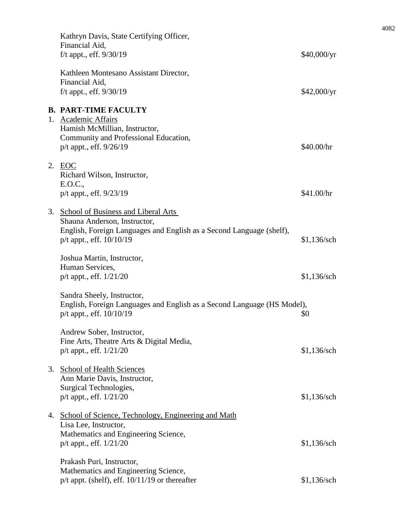| Kathryn Davis, State Certifying Officer,<br>Financial Aid,<br>$f/t$ appt., eff. $9/30/19$                                                                                      | \$40,000/yr   |
|--------------------------------------------------------------------------------------------------------------------------------------------------------------------------------|---------------|
| Kathleen Montesano Assistant Director,<br>Financial Aid,<br>f/t appt., eff. $9/30/19$                                                                                          | \$42,000/yr   |
| <b>B. PART-TIME FACULTY</b><br>1. Academic Affairs<br>Hamish McMillian, Instructor,<br>Community and Professional Education,<br>$p/t$ appt., eff. $9/26/19$                    | \$40.00/hr    |
| 2. EOC<br>Richard Wilson, Instructor,<br>E.O.C.,<br>p/t appt., eff. 9/23/19                                                                                                    | \$41.00/hr    |
| 3. School of Business and Liberal Arts<br>Shauna Anderson, Instructor,<br>English, Foreign Languages and English as a Second Language (shelf),<br>$p/t$ appt., eff. $10/10/19$ | $$1,136$ /sch |
| Joshua Martin, Instructor,<br>Human Services,<br>$p/t$ appt., eff. $1/21/20$                                                                                                   | \$1,136/sch   |
| Sandra Sheely, Instructor,<br>English, Foreign Languages and English as a Second Language (HS Model),<br>$p/t$ appt., eff. $10/10/19$                                          | \$0           |
| Andrew Sober, Instructor,<br>Fine Arts, Theatre Arts & Digital Media,<br>$p/t$ appt., eff. $1/21/20$                                                                           | \$1,136/sch   |
| 3. School of Health Sciences<br>Ann Marie Davis, Instructor,<br>Surgical Technologies,<br>$p/t$ appt., eff. $1/21/20$                                                          | $$1,136$ /sch |
| 4. School of Science, Technology, Engineering and Math<br>Lisa Lee, Instructor,<br>Mathematics and Engineering Science,<br>$p/t$ appt., eff. $1/21/20$                         | $$1,136$ /sch |
| Prakash Puri, Instructor,<br>Mathematics and Engineering Science,<br>$p/t$ appt. (shelf), eff. $10/11/19$ or thereafter                                                        | \$1,136/sch   |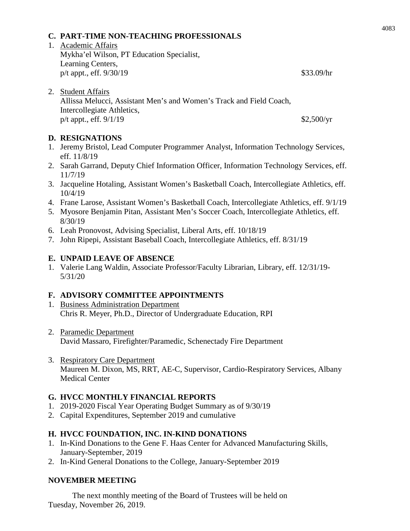#### **C. PART-TIME NON-TEACHING PROFESSIONALS**

- 1. Academic Affairs Mykha'el Wilson, PT Education Specialist, Learning Centers, p/t appt., eff. 9/30/19 \$33.09/hr
- 2. Student Affairs

Allissa Melucci, Assistant Men's and Women's Track and Field Coach, Intercollegiate Athletics, p/t appt., eff.  $9/1/19$  \$2,500/yr

# **D. RESIGNATIONS**

- 1. Jeremy Bristol, Lead Computer Programmer Analyst, Information Technology Services, eff. 11/8/19
- 2. Sarah Garrand, Deputy Chief Information Officer, Information Technology Services, eff. 11/7/19
- 3. Jacqueline Hotaling, Assistant Women's Basketball Coach, Intercollegiate Athletics, eff. 10/4/19
- 4. Frane Larose, Assistant Women's Basketball Coach, Intercollegiate Athletics, eff. 9/1/19
- 5. Myosore Benjamin Pitan, Assistant Men's Soccer Coach, Intercollegiate Athletics, eff. 8/30/19
- 6. Leah Pronovost, Advising Specialist, Liberal Arts, eff. 10/18/19
- 7. John Ripepi, Assistant Baseball Coach, Intercollegiate Athletics, eff. 8/31/19

#### **E. UNPAID LEAVE OF ABSENCE**

1. Valerie Lang Waldin, Associate Professor/Faculty Librarian, Library, eff. 12/31/19- 5/31/20

# **F. ADVISORY COMMITTEE APPOINTMENTS**

- 1. Business Administration Department Chris R. Meyer, Ph.D., Director of Undergraduate Education, RPI
- 2. Paramedic Department David Massaro, Firefighter/Paramedic, Schenectady Fire Department
- 3. Respiratory Care Department Maureen M. Dixon, MS, RRT, AE-C, Supervisor, Cardio-Respiratory Services, Albany Medical Center

#### **G. HVCC MONTHLY FINANCIAL REPORTS**

- 1. 2019-2020 Fiscal Year Operating Budget Summary as of 9/30/19
- 2. Capital Expenditures, September 2019 and cumulative

#### **H. HVCC FOUNDATION, INC. IN-KIND DONATIONS**

- 1. In-Kind Donations to the Gene F. Haas Center for Advanced Manufacturing Skills, January-September, 2019
- 2. In-Kind General Donations to the College, January-September 2019

#### **NOVEMBER MEETING**

The next monthly meeting of the Board of Trustees will be held on Tuesday, November 26, 2019.